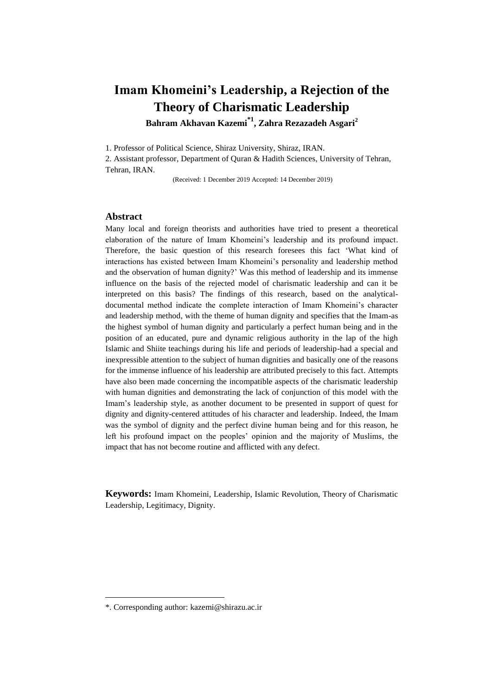# **Imam Khomeini's Leadership, a Rejection of the Theory of Charismatic Leadership**

**Bahram Akhavan Kazemi\*1 , Zahra Rezazadeh Asgari<sup>2</sup>**

1. Professor of Political Science, Shiraz University, Shiraz, IRAN.

2. Assistant professor, Department of Quran & Hadith Sciences, University of Tehran, Tehran, IRAN.

(Received: 1 December 2019 Accepted: 14 December 2019)

## **Abstract**

Many local and foreign theorists and authorities have tried to present a theoretical elaboration of the nature of Imam Khomeini's leadership and its profound impact. Therefore, the basic question of this research foresees this fact 'What kind of interactions has existed between Imam Khomeini's personality and leadership method and the observation of human dignity?' Was this method of leadership and its immense influence on the basis of the rejected model of charismatic leadership and can it be interpreted on this basis? The findings of this research, based on the analyticaldocumental method indicate the complete interaction of Imam Khomeini's character and leadership method, with the theme of human dignity and specifies that the Imam-as the highest symbol of human dignity and particularly a perfect human being and in the position of an educated, pure and dynamic religious authority in the lap of the high Islamic and Shiite teachings during his life and periods of leadership-had a special and inexpressible attention to the subject of human dignities and basically one of the reasons for the immense influence of his leadership are attributed precisely to this fact. Attempts have also been made concerning the incompatible aspects of the charismatic leadership with human dignities and demonstrating the lack of conjunction of this model with the Imam's leadership style, as another document to be presented in support of quest for dignity and dignity-centered attitudes of his character and leadership. Indeed, the Imam was the symbol of dignity and the perfect divine human being and for this reason, he left his profound impact on the peoples' opinion and the majority of Muslims, the impact that has not become routine and afflicted with any defect.

**Keywords:** Imam Khomeini, Leadership, Islamic Revolution, Theory of Charismatic Leadership, Legitimacy, Dignity.

<sup>\*.</sup> Corresponding author: kazemi@shirazu.ac.ir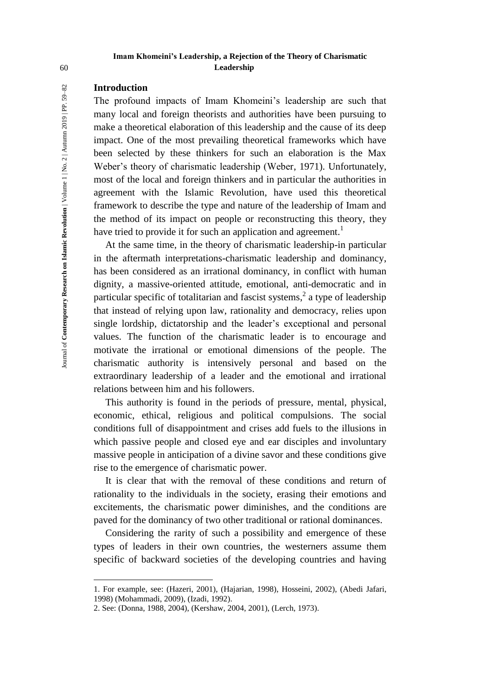# **Imam Khomeini's Leadership, a Rejection of the Theory of Charismatic**  60 **Leadership**

# **Introduction**

The profound impacts of Imam Khomeini's leadership are such that many local and foreign theorists and authorities have been pursuing to make a theoretical elaboration of this leadership and the cause of its deep impact. One of the most prevailing theoretical frameworks which have been selected by these thinkers for such an elaboration is the Max Weber's theory of charismatic leadership (Weber, 1971). Unfortunately, most of the local and foreign thinkers and in particular the authorities in agreement with the Islamic Revolution, have used this theoretical framework to describe the type and nature of the leadership of Imam and the method of its impact on people or reconstructing this theory, they have tried to provide it for such an application and agreement.<sup>1</sup>

At the same time, in the theory of charismatic leadership-in particular in the aftermath interpretations-charismatic leadership and dominancy, has been considered as an irrational dominancy, in conflict with human dignity, a massive-oriented attitude, emotional, anti-democratic and in particular specific of totalitarian and fascist systems,<sup>2</sup> a type of leadership that instead of relying upon law, rationality and democracy, relies upon single lordship, dictatorship and the leader's exceptional and personal values. The function of the charismatic leader is to encourage and motivate the irrational or emotional dimensions of the people. The charismatic authority is intensively personal and based on the extraordinary leadership of a leader and the emotional and irrational relations between him and his followers.

This authority is found in the periods of pressure, mental, physical, economic, ethical, religious and political compulsions. The social conditions full of disappointment and crises add fuels to the illusions in which passive people and closed eye and ear disciples and involuntary massive people in anticipation of a divine savor and these conditions give rise to the emergence of charismatic power.

It is clear that with the removal of these conditions and return of rationality to the individuals in the society, erasing their emotions and excitements, the charismatic power diminishes, and the conditions are paved for the dominancy of two other traditional or rational dominances.

Considering the rarity of such a possibility and emergence of these types of leaders in their own countries, the westerners assume them specific of backward societies of the developing countries and having

 $\overline{a}$ 

<sup>1.</sup> For example, see: (Hazeri, 2001), (Hajarian, 1998), Hosseini, 2002), (Abedi Jafari, 1998) (Mohammadi, 2009), (Izadi, 1992).

<sup>2.</sup> See: (Donna, 1988, 2004), (Kershaw, 2004, 2001), (Lerch, 1973).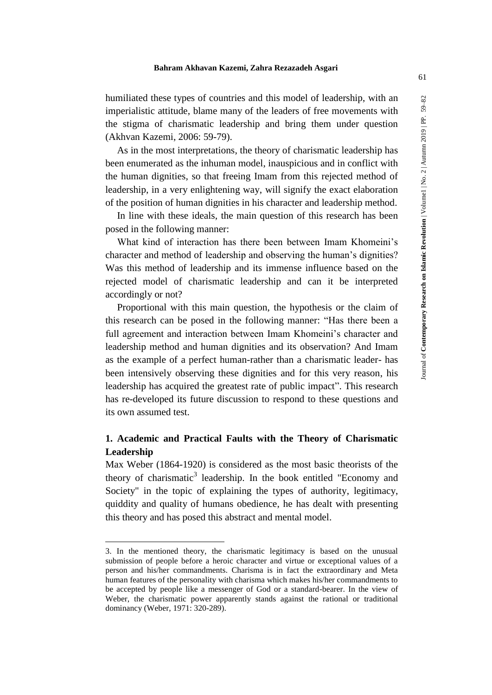#### **Bahram Akhavan Kazemi, Zahra Rezazadeh Asgari**

humiliated these types of countries and this model of leadership, with an imperialistic attitude, blame many of the leaders of free movements with the stigma of charismatic leadership and bring them under question (Akhvan Kazemi, 2006: 59-79).

As in the most interpretations, the theory of charismatic leadership has been enumerated as the inhuman model, inauspicious and in conflict with the human dignities, so that freeing Imam from this rejected method of leadership, in a very enlightening way, will signify the exact elaboration of the position of human dignities in his character and leadership method.

In line with these ideals, the main question of this research has been posed in the following manner:

What kind of interaction has there been between Imam Khomeini's character and method of leadership and observing the human's dignities? Was this method of leadership and its immense influence based on the rejected model of charismatic leadership and can it be interpreted accordingly or not?

Proportional with this main question, the hypothesis or the claim of this research can be posed in the following manner: "Has there been a full agreement and interaction between Imam Khomeini's character and leadership method and human dignities and its observation? And Imam as the example of a perfect human-rather than a charismatic leader- has been intensively observing these dignities and for this very reason, his leadership has acquired the greatest rate of public impact". This research has re-developed its future discussion to respond to these questions and its own assumed test.

# **1. Academic and Practical Faults with the Theory of Charismatic Leadership**

Max Weber (1864-1920) is considered as the most basic theorists of the theory of charismatic<sup>3</sup> leadership. In the book entitled "Economy and Society" in the topic of explaining the types of authority, legitimacy, quiddity and quality of humans obedience, he has dealt with presenting this theory and has posed this abstract and mental model.

<u>.</u>

<sup>3.</sup> In the mentioned theory, the charismatic legitimacy is based on the unusual submission of people before a heroic character and virtue or exceptional values of a person and his/her commandments. Charisma is in fact the extraordinary and Meta human features of the personality with charisma which makes his/her commandments to be accepted by people like a messenger of God or a standard-bearer. In the view of Weber, the charismatic power apparently stands against the rational or traditional dominancy (Weber, 1971: 320-289).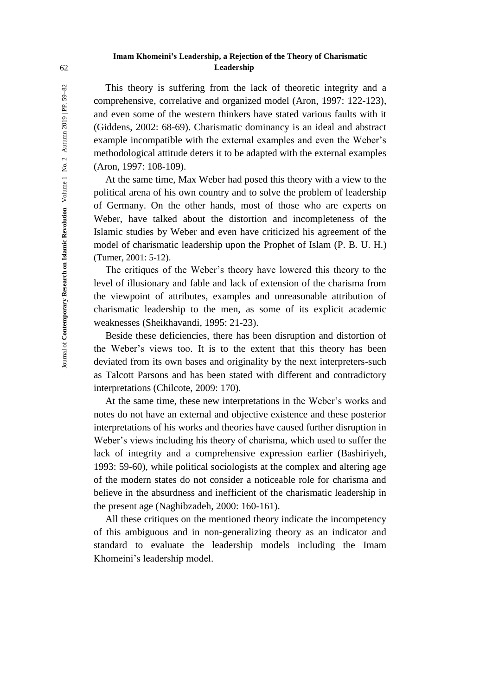## **Imam Khomeini's Leadership, a Rejection of the Theory of Charismatic**  62 **Leadership**

This theory is suffering from the lack of theoretic integrity and a comprehensive, correlative and organized model (Aron, 1997: 122-123), and even some of the western thinkers have stated various faults with it (Giddens, 2002: 68-69). Charismatic dominancy is an ideal and abstract example incompatible with the external examples and even the Weber's methodological attitude deters it to be adapted with the external examples (Aron, 1997: 108-109).

At the same time, Max Weber had posed this theory with a view to the political arena of his own country and to solve the problem of leadership of Germany. On the other hands, most of those who are experts on Weber, have talked about the distortion and incompleteness of the Islamic studies by Weber and even have criticized his agreement of the model of charismatic leadership upon the Prophet of Islam (P. B. U. H.) (Turner, 2001: 5-12).

The critiques of the Weber's theory have lowered this theory to the level of illusionary and fable and lack of extension of the charisma from the viewpoint of attributes, examples and unreasonable attribution of charismatic leadership to the men, as some of its explicit academic weaknesses (Sheikhavandi, 1995: 21-23).

Beside these deficiencies, there has been disruption and distortion of the Weber's views too. It is to the extent that this theory has been deviated from its own bases and originality by the next interpreters-such as Talcott Parsons and has been stated with different and contradictory interpretations (Chilcote, 2009: 170).

At the same time, these new interpretations in the Weber's works and notes do not have an external and objective existence and these posterior interpretations of his works and theories have caused further disruption in Weber's views including his theory of charisma, which used to suffer the lack of integrity and a comprehensive expression earlier (Bashiriyeh, 1993: 59-60), while political sociologists at the complex and altering age of the modern states do not consider a noticeable role for charisma and believe in the absurdness and inefficient of the charismatic leadership in the present age (Naghibzadeh, 2000: 160-161).

All these critiques on the mentioned theory indicate the incompetency of this ambiguous and in non-generalizing theory as an indicator and standard to evaluate the leadership models including the Imam Khomeini's leadership model.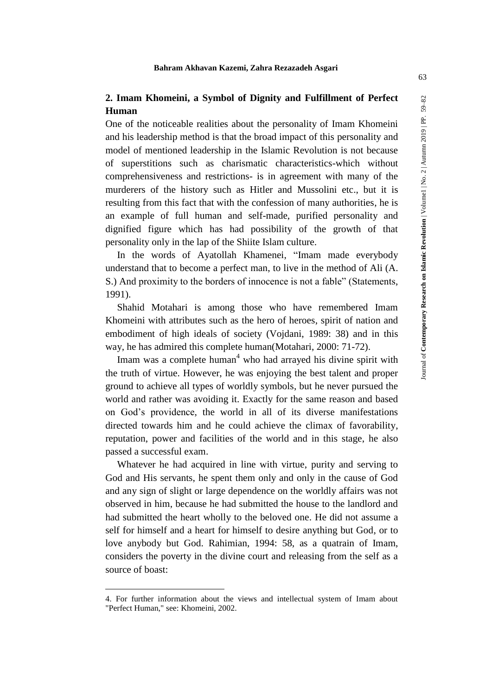# **2. Imam Khomeini, a Symbol of Dignity and Fulfillment of Perfect Human**

One of the noticeable realities about the personality of Imam Khomeini and his leadership method is that the broad impact of this personality and model of mentioned leadership in the Islamic Revolution is not because of superstitions such as charismatic characteristics-which without comprehensiveness and restrictions- is in agreement with many of the murderers of the history such as Hitler and Mussolini etc., but it is resulting from this fact that with the confession of many authorities, he is an example of full human and self-made, purified personality and dignified figure which has had possibility of the growth of that personality only in the lap of the Shiite Islam culture.

In the words of Ayatollah Khamenei, "Imam made everybody understand that to become a perfect man, to live in the method of Ali (A. S.) And proximity to the borders of innocence is not a fable" (Statements, 1991).

Shahid Motahari is among those who have remembered Imam Khomeini with attributes such as the hero of heroes, spirit of nation and embodiment of high ideals of society (Vojdani, 1989: 38) and in this way, he has admired this complete human(Motahari, 2000: 71-72).

Imam was a complete human<sup>4</sup> who had arrayed his divine spirit with the truth of virtue. However, he was enjoying the best talent and proper ground to achieve all types of worldly symbols, but he never pursued the world and rather was avoiding it. Exactly for the same reason and based on God's providence, the world in all of its diverse manifestations directed towards him and he could achieve the climax of favorability, reputation, power and facilities of the world and in this stage, he also passed a successful exam.

Whatever he had acquired in line with virtue, purity and serving to God and His servants, he spent them only and only in the cause of God and any sign of slight or large dependence on the worldly affairs was not observed in him, because he had submitted the house to the landlord and had submitted the heart wholly to the beloved one. He did not assume a self for himself and a heart for himself to desire anything but God, or to love anybody but God. Rahimian, 1994: 58, as a quatrain of Imam, considers the poverty in the divine court and releasing from the self as a source of boast:

<sup>4.</sup> For further information about the views and intellectual system of Imam about "Perfect Human," see: Khomeini, 2002.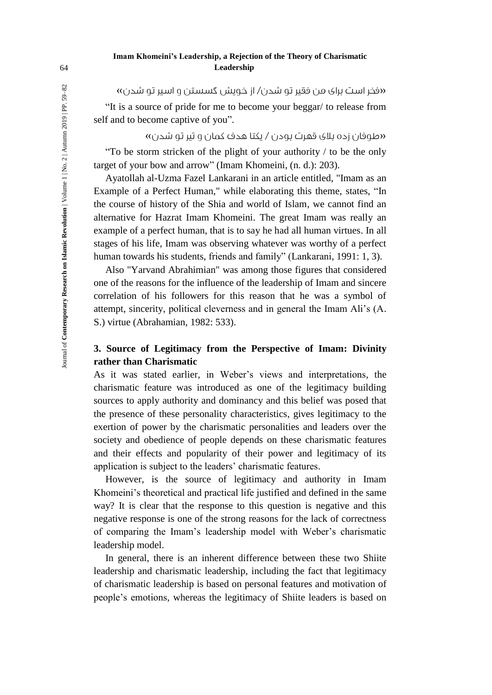# **Imam Khomeini's Leadership, a Rejection of the Theory of Charismatic**  64 **Leadership**

»فخر است برای من فقیر تو شدن/ از خویش گسستن و اسیر تو شدن«

"It is a source of pride for me to become your beggar/ to release from self and to become captive of you".

»طوفان زده بالی قهرت بودن / یکتا هدف کمان و تیر تو شدن«

"To be storm stricken of the plight of your authority / to be the only target of your bow and arrow" (Imam Khomeini, (n. d.): 203).

Ayatollah al-Uzma Fazel Lankarani in an article entitled, "Imam as an Example of a Perfect Human," while elaborating this theme, states, "In the course of history of the Shia and world of Islam, we cannot find an alternative for Hazrat Imam Khomeini. The great Imam was really an example of a perfect human, that is to say he had all human virtues. In all stages of his life, Imam was observing whatever was worthy of a perfect human towards his students, friends and family" (Lankarani, 1991: 1, 3).

Also "Yarvand Abrahimian" was among those figures that considered one of the reasons for the influence of the leadership of Imam and sincere correlation of his followers for this reason that he was a symbol of attempt, sincerity, political cleverness and in general the Imam Ali's (A. S.) virtue (Abrahamian, 1982: 533).

# **3. Source of Legitimacy from the Perspective of Imam: Divinity rather than Charismatic**

As it was stated earlier, in Weber's views and interpretations, the charismatic feature was introduced as one of the legitimacy building sources to apply authority and dominancy and this belief was posed that the presence of these personality characteristics, gives legitimacy to the exertion of power by the charismatic personalities and leaders over the society and obedience of people depends on these charismatic features and their effects and popularity of their power and legitimacy of its application is subject to the leaders' charismatic features.

However, is the source of legitimacy and authority in Imam Khomeini's theoretical and practical life justified and defined in the same way? It is clear that the response to this question is negative and this negative response is one of the strong reasons for the lack of correctness of comparing the Imam's leadership model with Weber's charismatic leadership model.

In general, there is an inherent difference between these two Shiite leadership and charismatic leadership, including the fact that legitimacy of charismatic leadership is based on personal features and motivation of people's emotions, whereas the legitimacy of Shiite leaders is based on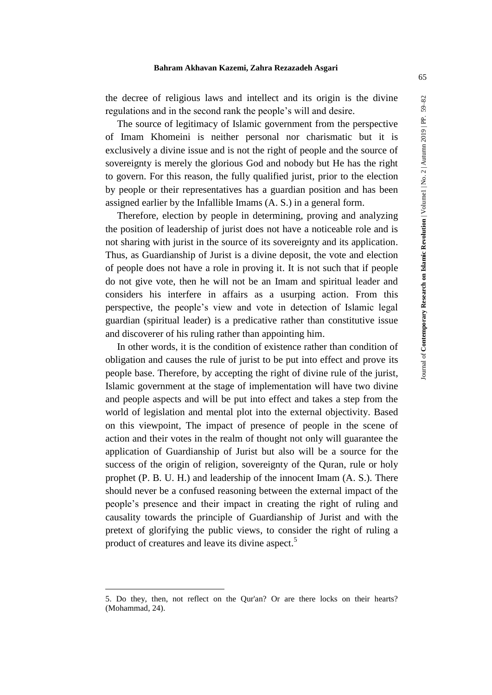#### **Bahram Akhavan Kazemi, Zahra Rezazadeh Asgari**

the decree of religious laws and intellect and its origin is the divine regulations and in the second rank the people's will and desire.

The source of legitimacy of Islamic government from the perspective of Imam Khomeini is neither personal nor charismatic but it is exclusively a divine issue and is not the right of people and the source of sovereignty is merely the glorious God and nobody but He has the right to govern. For this reason, the fully qualified jurist, prior to the election by people or their representatives has a guardian position and has been assigned earlier by the Infallible Imams (A. S.) in a general form.

Therefore, election by people in determining, proving and analyzing the position of leadership of jurist does not have a noticeable role and is not sharing with jurist in the source of its sovereignty and its application. Thus, as Guardianship of Jurist is a divine deposit, the vote and election of people does not have a role in proving it. It is not such that if people do not give vote, then he will not be an Imam and spiritual leader and considers his interfere in affairs as a usurping action. From this perspective, the people's view and vote in detection of Islamic legal guardian (spiritual leader) is a predicative rather than constitutive issue and discoverer of his ruling rather than appointing him.

In other words, it is the condition of existence rather than condition of obligation and causes the rule of jurist to be put into effect and prove its people base. Therefore, by accepting the right of divine rule of the jurist, Islamic government at the stage of implementation will have two divine and people aspects and will be put into effect and takes a step from the world of legislation and mental plot into the external objectivity. Based on this viewpoint, The impact of presence of people in the scene of action and their votes in the realm of thought not only will guarantee the application of Guardianship of Jurist but also will be a source for the success of the origin of religion, sovereignty of the Quran, rule or holy prophet (P. B. U. H.) and leadership of the innocent Imam (A. S.). There should never be a confused reasoning between the external impact of the people's presence and their impact in creating the right of ruling and causality towards the principle of Guardianship of Jurist and with the pretext of glorifying the public views, to consider the right of ruling a product of creatures and leave its divine aspect.<sup>5</sup>

<sup>5.</sup> Do they, then, not reflect on the Qur'an? Or are there locks on their hearts? (Mohammad, 24).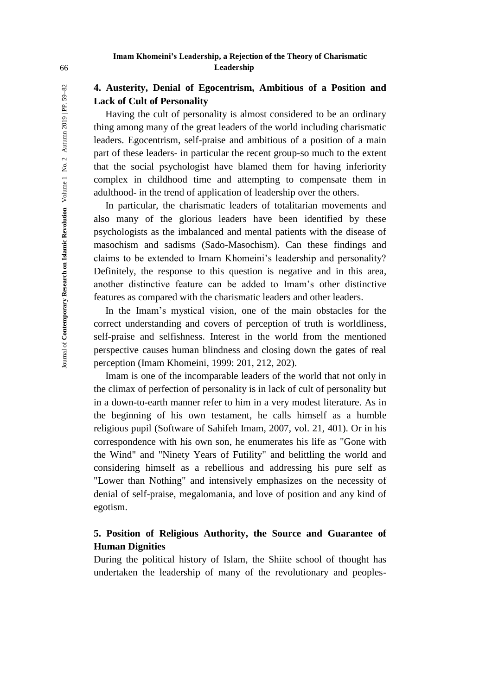# **4. Austerity, Denial of Egocentrism, Ambitious of a Position and Lack of Cult of Personality**

Having the cult of personality is almost considered to be an ordinary thing among many of the great leaders of the world including charismatic leaders. Egocentrism, self-praise and ambitious of a position of a main part of these leaders- in particular the recent group-so much to the extent that the social psychologist have blamed them for having inferiority complex in childhood time and attempting to compensate them in adulthood- in the trend of application of leadership over the others.

In particular, the charismatic leaders of totalitarian movements and also many of the glorious leaders have been identified by these psychologists as the imbalanced and mental patients with the disease of masochism and sadisms (Sado-Masochism). Can these findings and claims to be extended to Imam Khomeini's leadership and personality? Definitely, the response to this question is negative and in this area, another distinctive feature can be added to Imam's other distinctive features as compared with the charismatic leaders and other leaders.

In the Imam's mystical vision, one of the main obstacles for the correct understanding and covers of perception of truth is worldliness, self-praise and selfishness. Interest in the world from the mentioned perspective causes human blindness and closing down the gates of real perception (Imam Khomeini, 1999: 201, 212, 202).

Imam is one of the incomparable leaders of the world that not only in the climax of perfection of personality is in lack of cult of personality but in a down-to-earth manner refer to him in a very modest literature. As in the beginning of his own testament, he calls himself as a humble religious pupil (Software of Sahifeh Imam, 2007, vol. 21, 401). Or in his correspondence with his own son, he enumerates his life as "Gone with the Wind" and "Ninety Years of Futility" and belittling the world and considering himself as a rebellious and addressing his pure self as "Lower than Nothing" and intensively emphasizes on the necessity of denial of self-praise, megalomania, and love of position and any kind of egotism.

# **5. Position of Religious Authority, the Source and Guarantee of Human Dignities**

During the political history of Islam, the Shiite school of thought has undertaken the leadership of many of the revolutionary and peoples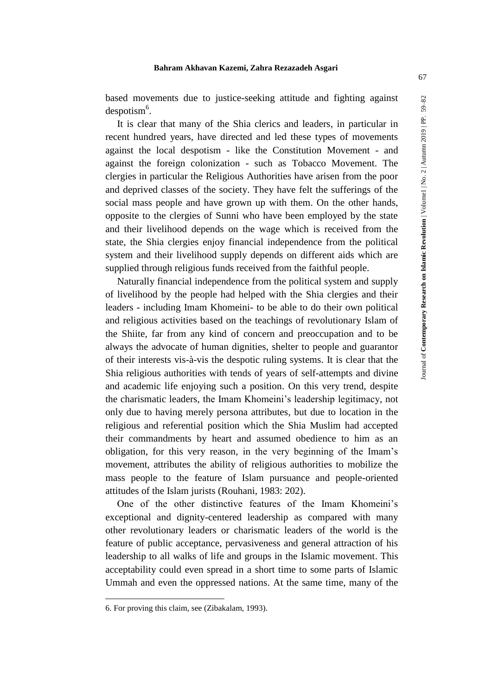based movements due to justice-seeking attitude and fighting against  $despotism<sup>6</sup>$ .

It is clear that many of the Shia clerics and leaders, in particular in recent hundred years, have directed and led these types of movements against the local despotism - like the Constitution Movement - and against the foreign colonization - such as Tobacco Movement. The clergies in particular the Religious Authorities have arisen from the poor and deprived classes of the society. They have felt the sufferings of the social mass people and have grown up with them. On the other hands, opposite to the clergies of Sunni who have been employed by the state and their livelihood depends on the wage which is received from the state, the Shia clergies enjoy financial independence from the political system and their livelihood supply depends on different aids which are supplied through religious funds received from the faithful people.

Naturally financial independence from the political system and supply of livelihood by the people had helped with the Shia clergies and their leaders - including Imam Khomeini- to be able to do their own political and religious activities based on the teachings of revolutionary Islam of the Shiite, far from any kind of concern and preoccupation and to be always the advocate of human dignities, shelter to people and guarantor of their interests vis-à-vis the despotic ruling systems. It is clear that the Shia religious authorities with tends of years of self-attempts and divine and academic life enjoying such a position. On this very trend, despite the charismatic leaders, the Imam Khomeini's leadership legitimacy, not only due to having merely persona attributes, but due to location in the religious and referential position which the Shia Muslim had accepted their commandments by heart and assumed obedience to him as an obligation, for this very reason, in the very beginning of the Imam's movement, attributes the ability of religious authorities to mobilize the mass people to the feature of Islam pursuance and people-oriented attitudes of the Islam jurists (Rouhani, 1983: 202).

One of the other distinctive features of the Imam Khomeini's exceptional and dignity-centered leadership as compared with many other revolutionary leaders or charismatic leaders of the world is the feature of public acceptance, pervasiveness and general attraction of his leadership to all walks of life and groups in the Islamic movement. This acceptability could even spread in a short time to some parts of Islamic Ummah and even the oppressed nations. At the same time, many of the

<u>.</u>

<sup>6.</sup> For proving this claim, see (Zibakalam, 1993).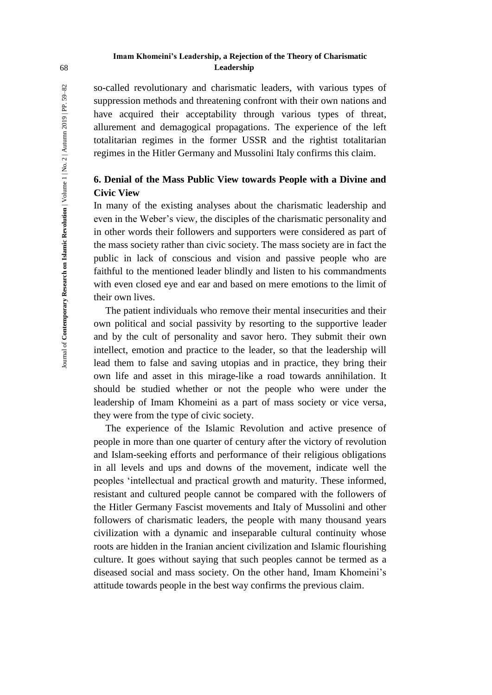# **Imam Khomeini's Leadership, a Rejection of the Theory of Charismatic**  68 **Leadership**

so-called revolutionary and charismatic leaders, with various types of suppression methods and threatening confront with their own nations and have acquired their acceptability through various types of threat, allurement and demagogical propagations. The experience of the left totalitarian regimes in the former USSR and the rightist totalitarian regimes in the Hitler Germany and Mussolini Italy confirms this claim.

# **6. Denial of the Mass Public View towards People with a Divine and Civic View**

In many of the existing analyses about the charismatic leadership and even in the Weber's view, the disciples of the charismatic personality and in other words their followers and supporters were considered as part of the mass society rather than civic society. The mass society are in fact the public in lack of conscious and vision and passive people who are faithful to the mentioned leader blindly and listen to his commandments with even closed eye and ear and based on mere emotions to the limit of their own lives.

The patient individuals who remove their mental insecurities and their own political and social passivity by resorting to the supportive leader and by the cult of personality and savor hero. They submit their own intellect, emotion and practice to the leader, so that the leadership will lead them to false and saving utopias and in practice, they bring their own life and asset in this mirage-like a road towards annihilation. It should be studied whether or not the people who were under the leadership of Imam Khomeini as a part of mass society or vice versa, they were from the type of civic society.

The experience of the Islamic Revolution and active presence of people in more than one quarter of century after the victory of revolution and Islam-seeking efforts and performance of their religious obligations in all levels and ups and downs of the movement, indicate well the peoples 'intellectual and practical growth and maturity. These informed, resistant and cultured people cannot be compared with the followers of the Hitler Germany Fascist movements and Italy of Mussolini and other followers of charismatic leaders, the people with many thousand years civilization with a dynamic and inseparable cultural continuity whose roots are hidden in the Iranian ancient civilization and Islamic flourishing culture. It goes without saying that such peoples cannot be termed as a diseased social and mass society. On the other hand, Imam Khomeini's attitude towards people in the best way confirms the previous claim.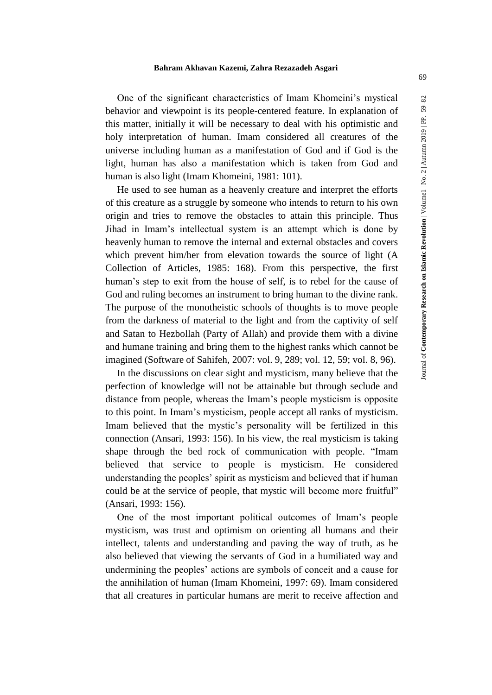One of the significant characteristics of Imam Khomeini's mystical behavior and viewpoint is its people-centered feature. In explanation of this matter, initially it will be necessary to deal with his optimistic and holy interpretation of human. Imam considered all creatures of the universe including human as a manifestation of God and if God is the light, human has also a manifestation which is taken from God and human is also light (Imam Khomeini, 1981: 101).

He used to see human as a heavenly creature and interpret the efforts of this creature as a struggle by someone who intends to return to his own origin and tries to remove the obstacles to attain this principle. Thus Jihad in Imam's intellectual system is an attempt which is done by heavenly human to remove the internal and external obstacles and covers which prevent him/her from elevation towards the source of light (A Collection of Articles, 1985: 168). From this perspective, the first human's step to exit from the house of self, is to rebel for the cause of God and ruling becomes an instrument to bring human to the divine rank. The purpose of the monotheistic schools of thoughts is to move people from the darkness of material to the light and from the captivity of self and Satan to Hezbollah (Party of Allah) and provide them with a divine and humane training and bring them to the highest ranks which cannot be imagined (Software of Sahifeh, 2007: vol. 9, 289; vol. 12, 59; vol. 8, 96).

In the discussions on clear sight and mysticism, many believe that the perfection of knowledge will not be attainable but through seclude and distance from people, whereas the Imam's people mysticism is opposite to this point. In Imam's mysticism, people accept all ranks of mysticism. Imam believed that the mystic's personality will be fertilized in this connection (Ansari, 1993: 156). In his view, the real mysticism is taking shape through the bed rock of communication with people. "Imam believed that service to people is mysticism. He considered understanding the peoples' spirit as mysticism and believed that if human could be at the service of people, that mystic will become more fruitful" (Ansari, 1993: 156).

One of the most important political outcomes of Imam's people mysticism, was trust and optimism on orienting all humans and their intellect, talents and understanding and paving the way of truth, as he also believed that viewing the servants of God in a humiliated way and undermining the peoples' actions are symbols of conceit and a cause for the annihilation of human (Imam Khomeini, 1997: 69). Imam considered that all creatures in particular humans are merit to receive affection and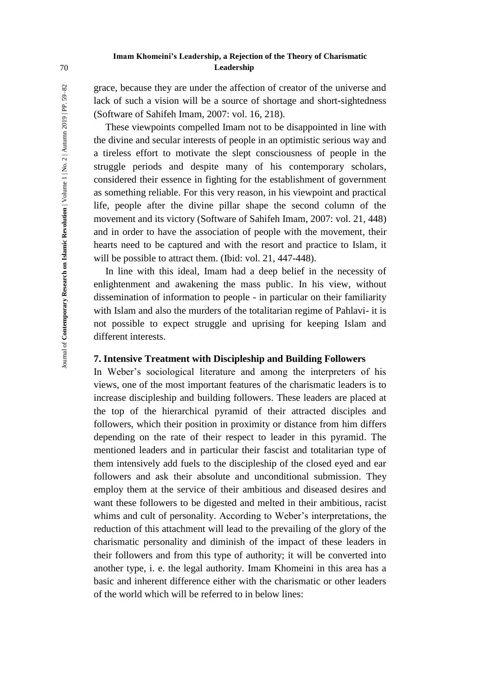## **Imam Khomeini's Leadership, a Rejection of the Theory of Charismatic**  70 **Leadership**

grace, because they are under the affection of creator of the universe and lack of such a vision will be a source of shortage and short-sightedness (Software of Sahifeh Imam, 2007: vol. 16, 218).

These viewpoints compelled Imam not to be disappointed in line with the divine and secular interests of people in an optimistic serious way and a tireless effort to motivate the slept consciousness of people in the struggle periods and despite many of his contemporary scholars, considered their essence in fighting for the establishment of government as something reliable. For this very reason, in his viewpoint and practical life, people after the divine pillar shape the second column of the movement and its victory (Software of Sahifeh Imam, 2007: vol. 21, 448) and in order to have the association of people with the movement, their hearts need to be captured and with the resort and practice to Islam, it will be possible to attract them. (Ibid: vol. 21, 447-448).

In line with this ideal, Imam had a deep belief in the necessity of enlightenment and awakening the mass public. In his view, without dissemination of information to people - in particular on their familiarity with Islam and also the murders of the totalitarian regime of Pahlavi- it is not possible to expect struggle and uprising for keeping Islam and different interests.

# **7. Intensive Treatment with Discipleship and Building Followers**

In Weber's sociological literature and among the interpreters of his views, one of the most important features of the charismatic leaders is to increase discipleship and building followers. These leaders are placed at the top of the hierarchical pyramid of their attracted disciples and followers, which their position in proximity or distance from him differs depending on the rate of their respect to leader in this pyramid. The mentioned leaders and in particular their fascist and totalitarian type of them intensively add fuels to the discipleship of the closed eyed and ear followers and ask their absolute and unconditional submission. They employ them at the service of their ambitious and diseased desires and want these followers to be digested and melted in their ambitious, racist whims and cult of personality. According to Weber's interpretations, the reduction of this attachment will lead to the prevailing of the glory of the charismatic personality and diminish of the impact of these leaders in their followers and from this type of authority; it will be converted into another type, i. e. the legal authority. Imam Khomeini in this area has a basic and inherent difference either with the charismatic or other leaders of the world which will be referred to in below lines: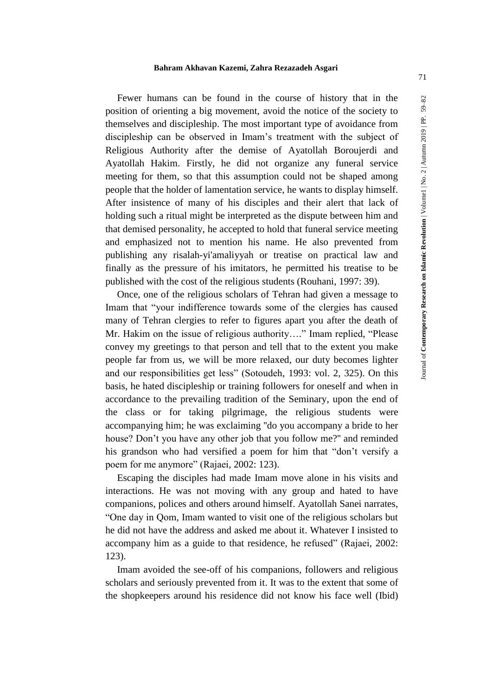Fewer humans can be found in the course of history that in the position of orienting a big movement, avoid the notice of the society to themselves and discipleship. The most important type of avoidance from discipleship can be observed in Imam's treatment with the subject of Religious Authority after the demise of Ayatollah Boroujerdi and Ayatollah Hakim. Firstly, he did not organize any funeral service meeting for them, so that this assumption could not be shaped among people that the holder of lamentation service, he wants to display himself. After insistence of many of his disciples and their alert that lack of holding such a ritual might be interpreted as the dispute between him and that demised personality, he accepted to hold that funeral service meeting and emphasized not to mention his name. He also prevented from publishing any risalah-yi'amaliyyah or treatise on practical law and finally as the pressure of his imitators, he permitted his treatise to be published with the cost of the religious students (Rouhani, 1997: 39).

Once, one of the religious scholars of Tehran had given a message to Imam that "your indifference towards some of the clergies has caused many of Tehran clergies to refer to figures apart you after the death of Mr. Hakim on the issue of religious authority…." Imam replied, "Please convey my greetings to that person and tell that to the extent you make people far from us, we will be more relaxed, our duty becomes lighter and our responsibilities get less" (Sotoudeh, 1993: vol. 2, 325). On this basis, he hated discipleship or training followers for oneself and when in accordance to the prevailing tradition of the Seminary, upon the end of the class or for taking pilgrimage, the religious students were accompanying him; he was exclaiming ''do you accompany a bride to her house? Don't you have any other job that you follow me?'' and reminded his grandson who had versified a poem for him that "don't versify a poem for me anymore" (Rajaei, 2002: 123).

Escaping the disciples had made Imam move alone in his visits and interactions. He was not moving with any group and hated to have companions, polices and others around himself. Ayatollah Sanei narrates, "One day in Qom, Imam wanted to visit one of the religious scholars but he did not have the address and asked me about it. Whatever I insisted to accompany him as a guide to that residence, he refused" (Rajaei, 2002: 123).

Imam avoided the see-off of his companions, followers and religious scholars and seriously prevented from it. It was to the extent that some of the shopkeepers around his residence did not know his face well (Ibid)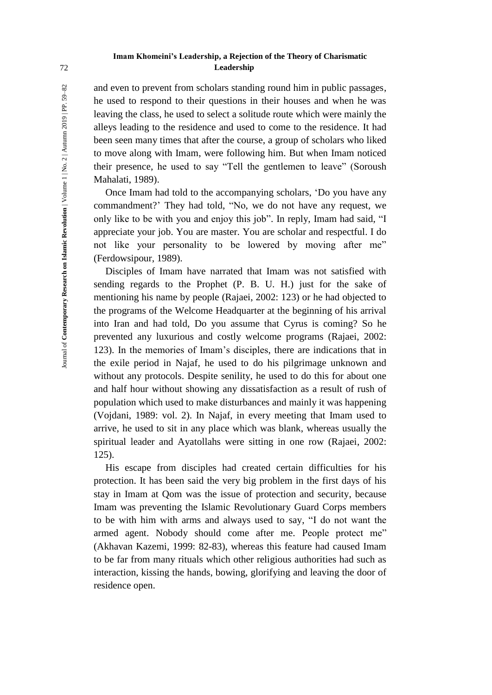## **Imam Khomeini's Leadership, a Rejection of the Theory of Charismatic**  72 **Leadership**

and even to prevent from scholars standing round him in public passages, he used to respond to their questions in their houses and when he was leaving the class, he used to select a solitude route which were mainly the alleys leading to the residence and used to come to the residence. It had been seen many times that after the course, a group of scholars who liked to move along with Imam, were following him. But when Imam noticed their presence, he used to say "Tell the gentlemen to leave" (Soroush Mahalati, 1989).

Once Imam had told to the accompanying scholars, 'Do you have any commandment?' They had told, "No, we do not have any request, we only like to be with you and enjoy this job". In reply, Imam had said, "I appreciate your job. You are master. You are scholar and respectful. I do not like your personality to be lowered by moving after me" (Ferdowsipour, 1989).

Disciples of Imam have narrated that Imam was not satisfied with sending regards to the Prophet (P. B. U. H.) just for the sake of mentioning his name by people (Rajaei, 2002: 123) or he had objected to the programs of the Welcome Headquarter at the beginning of his arrival into Iran and had told, Do you assume that Cyrus is coming? So he prevented any luxurious and costly welcome programs (Rajaei, 2002: 123). In the memories of Imam's disciples, there are indications that in the exile period in Najaf, he used to do his pilgrimage unknown and without any protocols. Despite senility, he used to do this for about one and half hour without showing any dissatisfaction as a result of rush of population which used to make disturbances and mainly it was happening (Vojdani, 1989: vol. 2). In Najaf, in every meeting that Imam used to arrive, he used to sit in any place which was blank, whereas usually the spiritual leader and Ayatollahs were sitting in one row (Rajaei, 2002: 125).

His escape from disciples had created certain difficulties for his protection. It has been said the very big problem in the first days of his stay in Imam at Qom was the issue of protection and security, because Imam was preventing the Islamic Revolutionary Guard Corps members to be with him with arms and always used to say, "I do not want the armed agent. Nobody should come after me. People protect me" (Akhavan Kazemi, 1999: 82-83), whereas this feature had caused Imam to be far from many rituals which other religious authorities had such as interaction, kissing the hands, bowing, glorifying and leaving the door of residence open.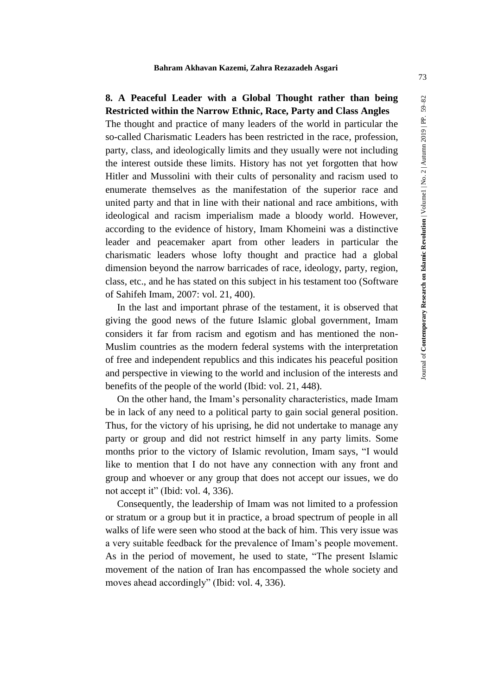# **8. A Peaceful Leader with a Global Thought rather than being Restricted within the Narrow Ethnic, Race, Party and Class Angles**

The thought and practice of many leaders of the world in particular the so-called Charismatic Leaders has been restricted in the race, profession, party, class, and ideologically limits and they usually were not including the interest outside these limits. History has not yet forgotten that how Hitler and Mussolini with their cults of personality and racism used to enumerate themselves as the manifestation of the superior race and united party and that in line with their national and race ambitions, with ideological and racism imperialism made a bloody world. However, according to the evidence of history, Imam Khomeini was a distinctive leader and peacemaker apart from other leaders in particular the charismatic leaders whose lofty thought and practice had a global dimension beyond the narrow barricades of race, ideology, party, region, class, etc., and he has stated on this subject in his testament too (Software of Sahifeh Imam, 2007: vol. 21, 400).

In the last and important phrase of the testament, it is observed that giving the good news of the future Islamic global government, Imam considers it far from racism and egotism and has mentioned the non-Muslim countries as the modern federal systems with the interpretation of free and independent republics and this indicates his peaceful position and perspective in viewing to the world and inclusion of the interests and benefits of the people of the world (Ibid: vol. 21, 448).

On the other hand, the Imam's personality characteristics, made Imam be in lack of any need to a political party to gain social general position. Thus, for the victory of his uprising, he did not undertake to manage any party or group and did not restrict himself in any party limits. Some months prior to the victory of Islamic revolution, Imam says, "I would like to mention that I do not have any connection with any front and group and whoever or any group that does not accept our issues, we do not accept it" (Ibid: vol. 4, 336).

Consequently, the leadership of Imam was not limited to a profession or stratum or a group but it in practice, a broad spectrum of people in all walks of life were seen who stood at the back of him. This very issue was a very suitable feedback for the prevalence of Imam's people movement. As in the period of movement, he used to state, "The present Islamic movement of the nation of Iran has encompassed the whole society and moves ahead accordingly" (Ibid: vol. 4, 336).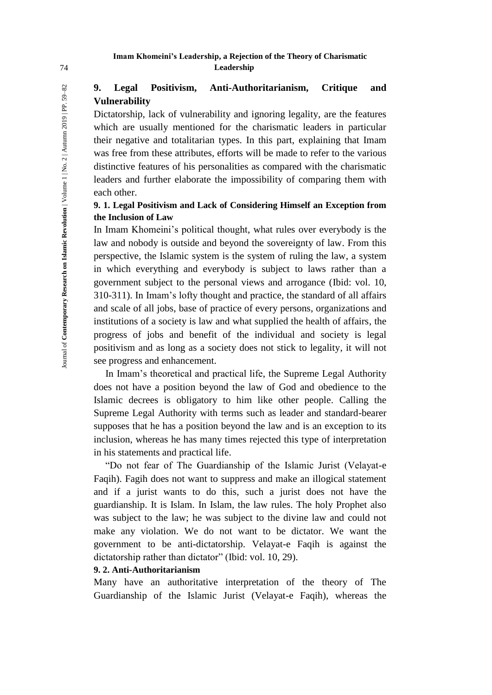# **Imam Khomeini's Leadership, a Rejection of the Theory of Charismatic**  74 **Leadership**

# **9. Legal Positivism, Anti-Authoritarianism, Critique and Vulnerability**

Dictatorship, lack of vulnerability and ignoring legality, are the features which are usually mentioned for the charismatic leaders in particular their negative and totalitarian types. In this part, explaining that Imam was free from these attributes, efforts will be made to refer to the various distinctive features of his personalities as compared with the charismatic leaders and further elaborate the impossibility of comparing them with each other.

# **9. 1. Legal Positivism and Lack of Considering Himself an Exception from the Inclusion of Law**

In Imam Khomeini's political thought, what rules over everybody is the law and nobody is outside and beyond the sovereignty of law. From this perspective, the Islamic system is the system of ruling the law, a system in which everything and everybody is subject to laws rather than a government subject to the personal views and arrogance (Ibid: vol. 10, 310-311). In Imam's lofty thought and practice, the standard of all affairs and scale of all jobs, base of practice of every persons, organizations and institutions of a society is law and what supplied the health of affairs, the progress of jobs and benefit of the individual and society is legal positivism and as long as a society does not stick to legality, it will not see progress and enhancement.

In Imam's theoretical and practical life, the Supreme Legal Authority does not have a position beyond the law of God and obedience to the Islamic decrees is obligatory to him like other people. Calling the Supreme Legal Authority with terms such as leader and standard-bearer supposes that he has a position beyond the law and is an exception to its inclusion, whereas he has many times rejected this type of interpretation in his statements and practical life.

"Do not fear of The Guardianship of the Islamic Jurist (Velayat-e Faqih). Fagih does not want to suppress and make an illogical statement and if a jurist wants to do this, such a jurist does not have the guardianship. It is Islam. In Islam, the law rules. The holy Prophet also was subject to the law; he was subject to the divine law and could not make any violation. We do not want to be dictator. We want the government to be anti-dictatorship. Velayat-e Faqih is against the dictatorship rather than dictator" (Ibid: vol. 10, 29).

#### **9. 2. Anti-Authoritarianism**

Many have an authoritative interpretation of the theory of The Guardianship of the Islamic Jurist (Velayat-e Faqih), whereas the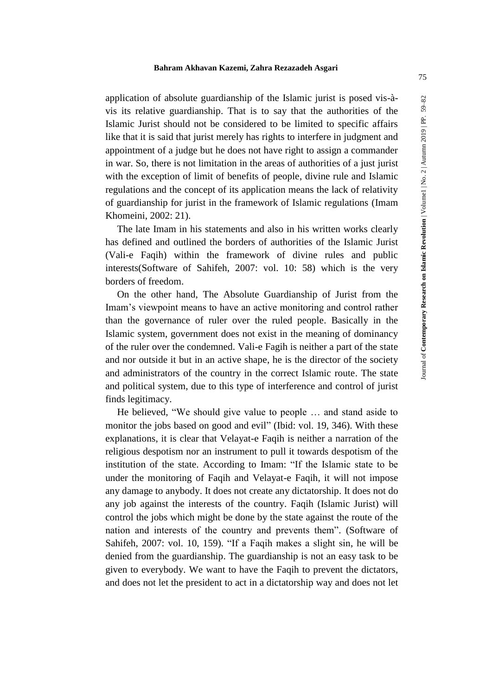application of absolute guardianship of the Islamic jurist is posed vis-àvis its relative guardianship. That is to say that the authorities of the Islamic Jurist should not be considered to be limited to specific affairs like that it is said that jurist merely has rights to interfere in judgment and appointment of a judge but he does not have right to assign a commander in war. So, there is not limitation in the areas of authorities of a just jurist with the exception of limit of benefits of people, divine rule and Islamic regulations and the concept of its application means the lack of relativity of guardianship for jurist in the framework of Islamic regulations (Imam Khomeini, 2002: 21).

The late Imam in his statements and also in his written works clearly has defined and outlined the borders of authorities of the Islamic Jurist (Vali-e Faqih) within the framework of divine rules and public interests(Software of Sahifeh, 2007: vol. 10: 58) which is the very borders of freedom.

On the other hand, The Absolute Guardianship of Jurist from the Imam's viewpoint means to have an active monitoring and control rather than the governance of ruler over the ruled people. Basically in the Islamic system, government does not exist in the meaning of dominancy of the ruler over the condemned. Vali-e Fagih is neither a part of the state and nor outside it but in an active shape, he is the director of the society and administrators of the country in the correct Islamic route. The state and political system, due to this type of interference and control of jurist finds legitimacy.

He believed, "We should give value to people … and stand aside to monitor the jobs based on good and evil" (Ibid: vol. 19, 346). With these explanations, it is clear that Velayat-e Faqih is neither a narration of the religious despotism nor an instrument to pull it towards despotism of the institution of the state. According to Imam: "If the Islamic state to be under the monitoring of Faqih and Velayat-e Faqih, it will not impose any damage to anybody. It does not create any dictatorship. It does not do any job against the interests of the country. Faqih (Islamic Jurist) will control the jobs which might be done by the state against the route of the nation and interests of the country and prevents them". (Software of Sahifeh, 2007: vol. 10, 159). "If a Faqih makes a slight sin, he will be denied from the guardianship. The guardianship is not an easy task to be given to everybody. We want to have the Faqih to prevent the dictators, and does not let the president to act in a dictatorship way and does not let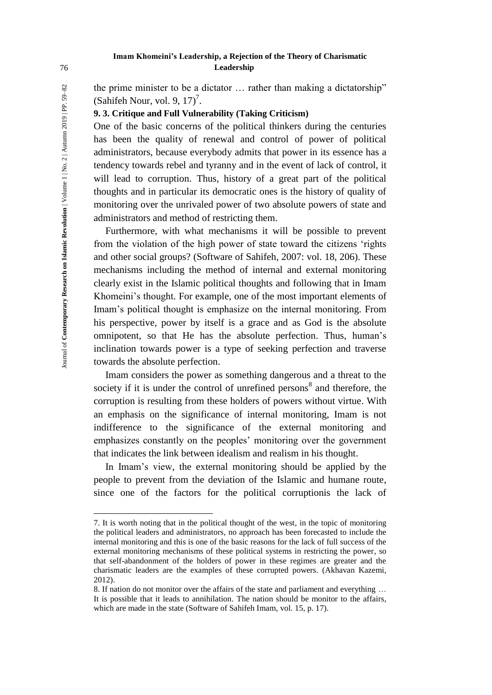# **Imam Khomeini's Leadership, a Rejection of the Theory of Charismatic**  76 **Leadership**

the prime minister to be a dictator … rather than making a dictatorship" (Sahifeh Nour, vol. 9,  $17$ )<sup>7</sup>.

# **9. 3. Critique and Full Vulnerability (Taking Criticism)**

One of the basic concerns of the political thinkers during the centuries has been the quality of renewal and control of power of political administrators, because everybody admits that power in its essence has a tendency towards rebel and tyranny and in the event of lack of control, it will lead to corruption. Thus, history of a great part of the political thoughts and in particular its democratic ones is the history of quality of monitoring over the unrivaled power of two absolute powers of state and administrators and method of restricting them.

Furthermore, with what mechanisms it will be possible to prevent from the violation of the high power of state toward the citizens 'rights and other social groups? (Software of Sahifeh, 2007: vol. 18, 206). These mechanisms including the method of internal and external monitoring clearly exist in the Islamic political thoughts and following that in Imam Khomeini's thought. For example, one of the most important elements of Imam's political thought is emphasize on the internal monitoring. From his perspective, power by itself is a grace and as God is the absolute omnipotent, so that He has the absolute perfection. Thus, human's inclination towards power is a type of seeking perfection and traverse towards the absolute perfection.

Imam considers the power as something dangerous and a threat to the society if it is under the control of unrefined persons<sup>8</sup> and therefore, the corruption is resulting from these holders of powers without virtue. With an emphasis on the significance of internal monitoring, Imam is not indifference to the significance of the external monitoring and emphasizes constantly on the peoples' monitoring over the government that indicates the link between idealism and realism in his thought.

In Imam's view, the external monitoring should be applied by the people to prevent from the deviation of the Islamic and humane route, since one of the factors for the political corruptionis the lack of

 $\overline{a}$ 

<sup>7.</sup> It is worth noting that in the political thought of the west, in the topic of monitoring the political leaders and administrators, no approach has been forecasted to include the internal monitoring and this is one of the basic reasons for the lack of full success of the external monitoring mechanisms of these political systems in restricting the power, so that self-abandonment of the holders of power in these regimes are greater and the charismatic leaders are the examples of these corrupted powers. (Akhavan Kazemi, 2012).

<sup>8.</sup> If nation do not monitor over the affairs of the state and parliament and everything … It is possible that it leads to annihilation. The nation should be monitor to the affairs, which are made in the state (Software of Sahifeh Imam, vol. 15, p. 17).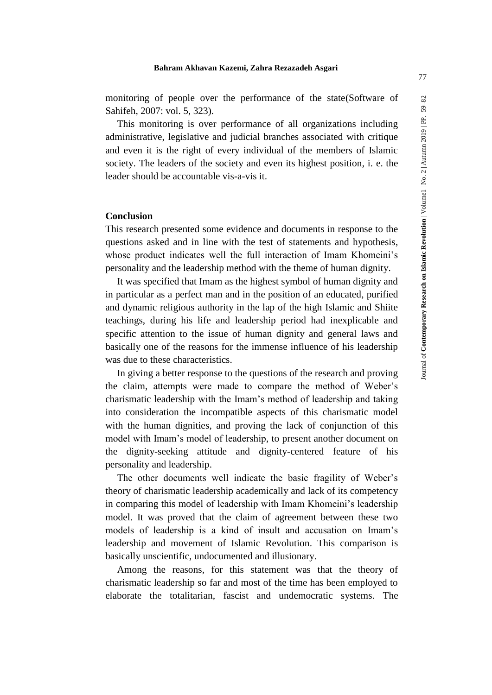monitoring of people over the performance of the state(Software of Sahifeh, 2007: vol. 5, 323).

This monitoring is over performance of all organizations including administrative, legislative and judicial branches associated with critique and even it is the right of every individual of the members of Islamic society. The leaders of the society and even its highest position, i. e. the leader should be accountable vis-a-vis it.

#### **Conclusion**

This research presented some evidence and documents in response to the questions asked and in line with the test of statements and hypothesis, whose product indicates well the full interaction of Imam Khomeini's personality and the leadership method with the theme of human dignity.

It was specified that Imam as the highest symbol of human dignity and in particular as a perfect man and in the position of an educated, purified and dynamic religious authority in the lap of the high Islamic and Shiite teachings, during his life and leadership period had inexplicable and specific attention to the issue of human dignity and general laws and basically one of the reasons for the immense influence of his leadership was due to these characteristics.

In giving a better response to the questions of the research and proving the claim, attempts were made to compare the method of Weber's charismatic leadership with the Imam's method of leadership and taking into consideration the incompatible aspects of this charismatic model with the human dignities, and proving the lack of conjunction of this model with Imam's model of leadership, to present another document on the dignity-seeking attitude and dignity-centered feature of his personality and leadership.

The other documents well indicate the basic fragility of Weber's theory of charismatic leadership academically and lack of its competency in comparing this model of leadership with Imam Khomeini's leadership model. It was proved that the claim of agreement between these two models of leadership is a kind of insult and accusation on Imam's leadership and movement of Islamic Revolution. This comparison is basically unscientific, undocumented and illusionary.

Among the reasons, for this statement was that the theory of charismatic leadership so far and most of the time has been employed to elaborate the totalitarian, fascist and undemocratic systems. The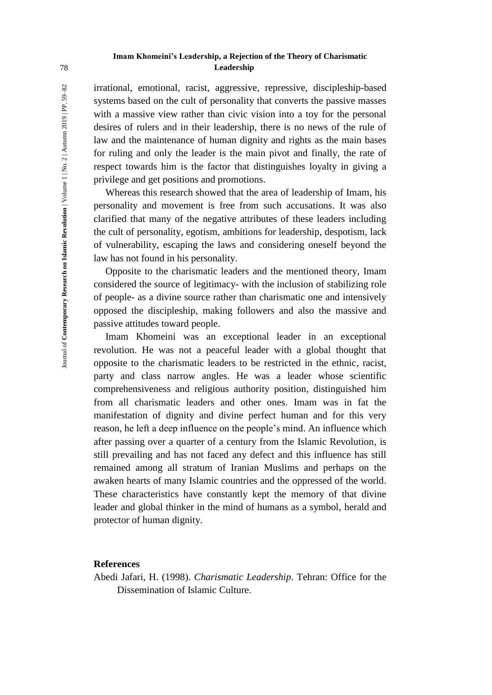# **Imam Khomeini's Leadership, a Rejection of the Theory of Charismatic**  78 **Leadership**

irrational, emotional, racist, aggressive, repressive, discipleship-based systems based on the cult of personality that converts the passive masses with a massive view rather than civic vision into a toy for the personal desires of rulers and in their leadership, there is no news of the rule of law and the maintenance of human dignity and rights as the main bases for ruling and only the leader is the main pivot and finally, the rate of respect towards him is the factor that distinguishes loyalty in giving a privilege and get positions and promotions.

Whereas this research showed that the area of leadership of Imam, his personality and movement is free from such accusations. It was also clarified that many of the negative attributes of these leaders including the cult of personality, egotism, ambitions for leadership, despotism, lack of vulnerability, escaping the laws and considering oneself beyond the law has not found in his personality.

Opposite to the charismatic leaders and the mentioned theory, Imam considered the source of legitimacy- with the inclusion of stabilizing role of people- as a divine source rather than charismatic one and intensively opposed the discipleship, making followers and also the massive and passive attitudes toward people.

Imam Khomeini was an exceptional leader in an exceptional revolution. He was not a peaceful leader with a global thought that opposite to the charismatic leaders to be restricted in the ethnic, racist, party and class narrow angles. He was a leader whose scientific comprehensiveness and religious authority position, distinguished him from all charismatic leaders and other ones. Imam was in fat the manifestation of dignity and divine perfect human and for this very reason, he left a deep influence on the people's mind. An influence which after passing over a quarter of a century from the Islamic Revolution, is still prevailing and has not faced any defect and this influence has still remained among all stratum of Iranian Muslims and perhaps on the awaken hearts of many Islamic countries and the oppressed of the world. These characteristics have constantly kept the memory of that divine leader and global thinker in the mind of humans as a symbol, herald and protector of human dignity.

# **References**

Abedi Jafari, H. (1998). *Charismatic Leadership*. Tehran: Office for the Dissemination of Islamic Culture.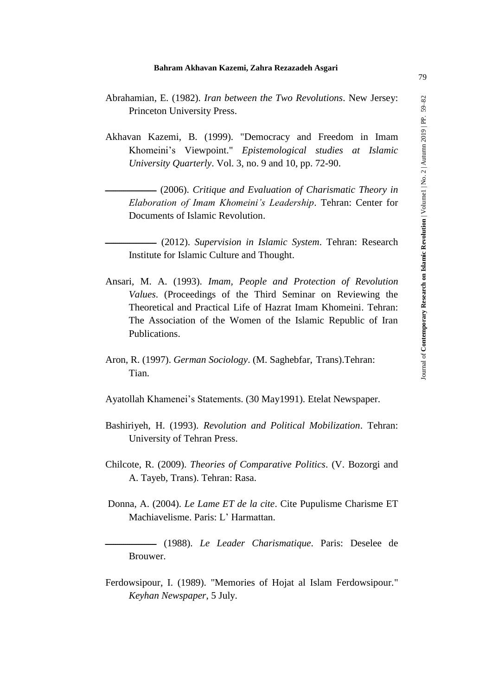- Abrahamian, E. (1982). *Iran between the Two Revolutions*. New Jersey: Princeton University Press.
- Akhavan Kazemi, B. (1999). "Democracy and Freedom in Imam Khomeini's Viewpoint." *Epistemological studies at Islamic University Quarterly*. Vol. 3, no. 9 and 10, pp. 72-90.

 $-$  (2006). Critique and Evaluation of Charismatic Theory in *Elaboration of Imam Khomeini's Leadership*. Tehran: Center for Documents of Islamic Revolution.

- ـــــــــــــــــــــــــ) 2012(. *Supervision in Islamic System*. Tehran: Research Institute for Islamic Culture and Thought.
- Ansari, M. A. (1993). *Imam, People and Protection of Revolution Values*. (Proceedings of the Third Seminar on Reviewing the Theoretical and Practical Life of Hazrat Imam Khomeini. Tehran: The Association of the Women of the Islamic Republic of Iran Publications.
- Aron, R. (1997). *German Sociology*. (M. Saghebfar, Trans).Tehran: Tian.
- Ayatollah Khamenei's Statements. (30 May1991). Etelat Newspaper.
- Bashiriyeh, H. (1993). *Revolution and Political Mobilization*. Tehran: University of Tehran Press.
- Chilcote, R. (2009). *Theories of Comparative Politics*. (V. Bozorgi and A. Tayeb, Trans). Tehran: Rasa.
- Donna, A. (2004). *Le Lame ET de la cite*. Cite Pupulisme Charisme ET Machiavelisme. Paris: L' Harmattan.

ـــــــــــــــــــــــــ) 1988(. *Le Leader Charismatique*. Paris: Deselee de Brouwer.

Ferdowsipour, I. (1989). "Memories of Hojat al Islam Ferdowsipour." *Keyhan Newspaper*, 5 July.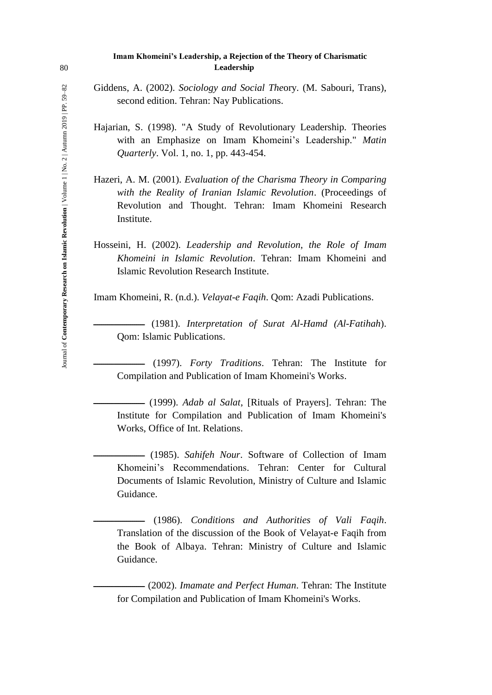### **Imam Khomeini's Leadership, a Rejection of the Theory of Charismatic**  80 **Leadership**

Giddens, A. (2002). *Sociology and Social The*ory. (M. Sabouri, Trans), second edition. Tehran: Nay Publications.

- Hajarian, S. (1998). "A Study of Revolutionary Leadership*.* Theories with an Emphasize on Imam Khomeini's Leadership." *Matin Quarterly*. Vol. 1, no. 1, pp. 443-454.
- Hazeri, A. M. (2001). *Evaluation of the Charisma Theory in Comparing with the Reality of Iranian Islamic Revolution*. (Proceedings of Revolution and Thought. Tehran: Imam Khomeini Research Institute.
- Hosseini, H. (2002). *Leadership and Revolution*, *the Role of Imam Khomeini in Islamic Revolution*. Tehran: Imam Khomeini and Islamic Revolution Research Institute.

Imam Khomeini, R. (n.d.). *Velayat-e Faqih*. Qom: Azadi Publications.

ـــــــــــــــــــــــــ) 1981(. *Interpretation of Surat Al-Hamd (Al-Fatihah*). Qom: Islamic Publications.

ـــــــــــــــــــــــــ) 1997(. *Forty Traditions*. Tehran: The Institute for Compilation and Publication of Imam Khomeini's Works.

ـــــــــــــــــــــــــ) 1999(. *Adab al Salat*, [Rituals of Prayers]. Tehran: The Institute for Compilation and Publication of Imam Khomeini's Works, Office of Int. Relations.

ـــــــــــــــــــــــــ) 1985(. *Sahifeh Nour*. Software of Collection of Imam Khomeini's Recommendations. Tehran: Center for Cultural Documents of Islamic Revolution, Ministry of Culture and Islamic Guidance.

ـــــــــــــــــــــــــ) 1986(. *Conditions and Authorities of Vali Faqih*. Translation of the discussion of the Book of Velayat-e Faqih from the Book of Albaya. Tehran: Ministry of Culture and Islamic Guidance.

 $-$  (2002). *Imamate and Perfect Human*. Tehran: The Institute for Compilation and Publication of Imam Khomeini's Works.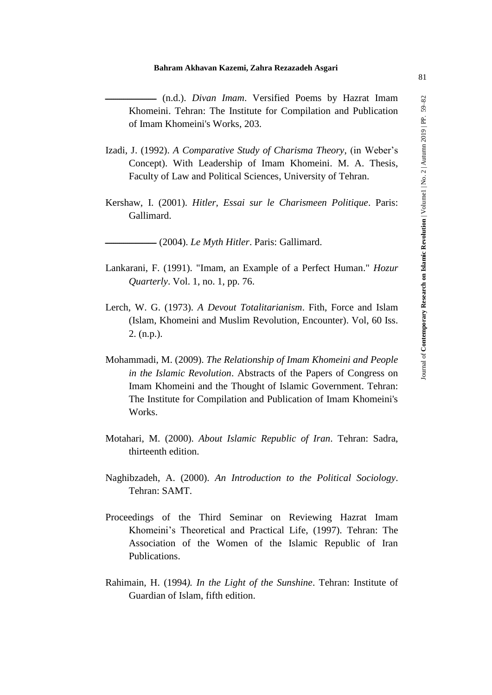- $-$  (n.d.). *Divan Imam*. Versified Poems by Hazrat Imam Khomeini. Tehran: The Institute for Compilation and Publication of Imam Khomeini's Works, 203.
- Izadi, J. (1992). *A Comparative Study of Charisma Theory*, (in Weber's Concept). With Leadership of Imam Khomeini. M. A. Thesis, Faculty of Law and Political Sciences, University of Tehran.
- Kershaw, I. (2001). *Hitler, Essai sur le Charismeen Politique*. Paris: Gallimard.

ـــــــــــــــــــــــــ) 2004(. *Le Myth Hitler*. Paris: Gallimard.

- Lankarani, F. (1991). "Imam, an Example of a Perfect Human." *Hozur Quarterly*. Vol. 1, no. 1, pp. 76.
- Lerch, W. G. (1973). *A Devout Totalitarianism*. Fith, Force and Islam (Islam, Khomeini and Muslim Revolution, Encounter). Vol, 60 Iss. 2. (n.p.).
- Mohammadi, M. (2009). *The Relationship of Imam Khomeini and People in the Islamic Revolution*. Abstracts of the Papers of Congress on Imam Khomeini and the Thought of Islamic Government. Tehran: The Institute for Compilation and Publication of Imam Khomeini's Works.
- Motahari, M. (2000). *About Islamic Republic of Iran*. Tehran: Sadra, thirteenth edition.
- Naghibzadeh, A. (2000). *An Introduction to the Political Sociology*. Tehran: SAMT.
- Proceedings of the Third Seminar on Reviewing Hazrat Imam Khomeini's Theoretical and Practical Life, (1997). Tehran: The Association of the Women of the Islamic Republic of Iran Publications.
- Rahimain, H. (1994*). In the Light of the Sunshine*. Tehran: Institute of Guardian of Islam, fifth edition.